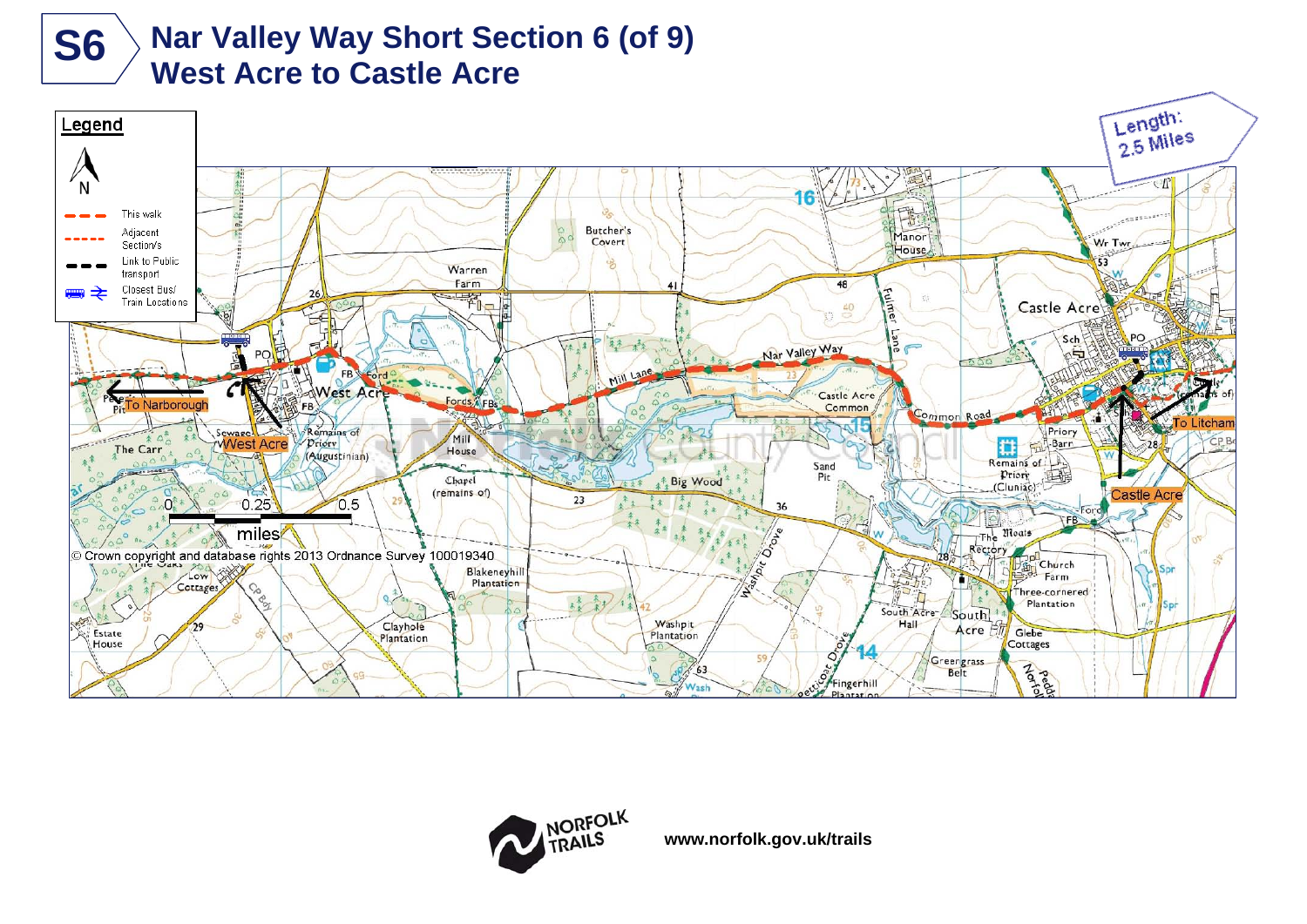

# **Nar Valley Way Short Section 6 (of 9) S6** > Nar Valley Way Short Sec<br>West Acre to Castle Acre